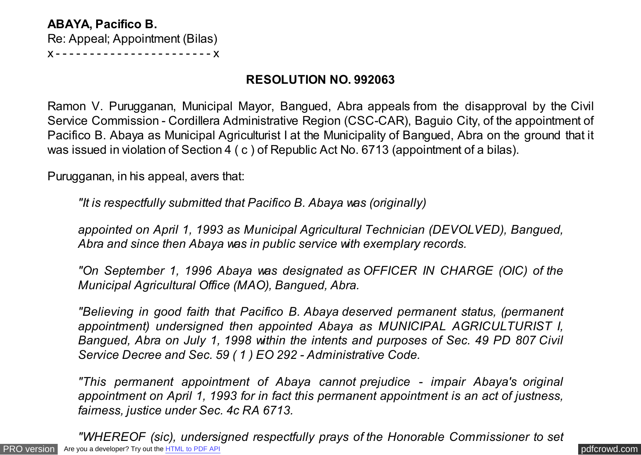**ABAYA, Pacifico B.** Re: Appeal; Appointment (Bilas) x - - - - - - - - - - - - - - - - - - - - - - - x

## **RESOLUTION NO. 992063**

Ramon V. Purugganan, Municipal Mayor, Bangued, Abra appeals from the disapproval by the Civil Service Commission - Cordillera Administrative Region (CSC-CAR), Baguio City, of the appointment of Pacifico B. Abaya as Municipal Agriculturist I at the Municipality of Bangued, Abra on the ground that it was issued in violation of Section 4 ( c ) of Republic Act No. 6713 (appointment of a bilas).

Purugganan, in his appeal, avers that:

*"It is respectfully submitted that Pacifico B. Abaya was (originally)*

*appointed on April 1, 1993 as Municipal Agricultural Technician (DEVOLVED), Bangued, Abra and since then Abaya was in public service with exemplary records.*

*"On September 1, 1996 Abaya was designated as OFFICER IN CHARGE (OIC) of the Municipal Agricultural Office (MAO), Bangued, Abra.*

*"Believing in good faith that Pacifico B. Abaya deserved permanent status, (permanent appointment) undersigned then appointed Abaya as MUNICIPAL AGRICULTURIST I, Bangued, Abra on July 1, 1998 within the intents and purposes of Sec. 49 PD 807 Civil Service Decree and Sec. 59 ( 1 ) EO 292 - Administrative Code.*

*"This permanent appointment of Abaya cannot prejudice - impair Abaya's original appointment on April 1, 1993 for in fact this permanent appointment is an act of justness, fairness, justice under Sec. 4c RA 6713.*

[PRO version](http://pdfcrowd.com/customize/) Are you a developer? Try out th[e HTML to PDF API](http://pdfcrowd.com/html-to-pdf-api/?ref=pdf) contract the CHTML of PDF API [pdfcrowd.com](http://pdfcrowd.com) *"WHEREOF (sic), undersigned respectfully prays of the Honorable Commissioner to set*

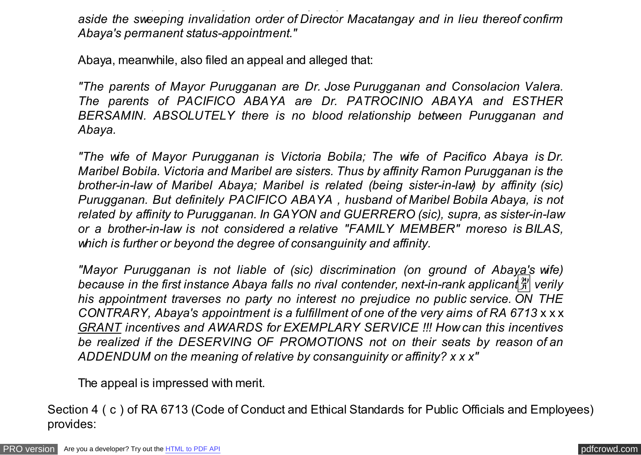*aside the sweeping invalidation order of Director Macatangay and in lieu thereof confirm Abaya's permanent status-appointment."*

*"WHEREOF (sic), undersigned respectfully prays of the Honorable Commissioner to set*

Abaya, meanwhile, also filed an appeal and alleged that:

*"The parents of Mayor Purugganan are Dr. Jose Purugganan and Consolacion Valera. The parents of PACIFICO ABAYA are Dr. PATROCINIO ABAYA and ESTHER BERSAMIN. ABSOLUTELY there is no blood relationship between Purugganan and Abaya.*

*"The wife of Mayor Purugganan is Victoria Bobila; The wife of Pacifico Abaya is Dr. Maribel Bobila. Victoria and Maribel are sisters. Thus by affinity Ramon Purugganan is the brother-in-law of Maribel Abaya; Maribel is related (being sister-in-law) by affinity (sic) Purugganan. But definitely PACIFICO ABAYA , husband of Maribel Bobila Abaya, is not related by affinity to Purugganan. In GAYON and GUERRERO (sic), supra, as sister-in-law or a brother-in-law is not considered a relative "FAMILY MEMBER" moreso is BILAS, which is further or beyond the degree of consanguinity and affinity.*

*"Mayor Purugganan is not liable of (sic) discrimination (on ground of Abaya's wife) because in the first instance Abaya falls no rival contender, next-in-rank applicant* $\frac{29}{21}$  verily *his appointment traverses no party no interest no prejudice no public service. ON THE CONTRARY, Abaya's appointment is a fulfillment of one of the very aims of RA 6713* x x x *GRANT incentives and AWARDS for EXEMPLARY SERVICE !!! How can this incentives be realized if the DESERVING OF PROMOTIONS not on their seats by reason of an ADDENDUM on the meaning of relative by consanguinity or affinity? x x x"*

The appeal is impressed with merit.

Section 4 ( c ) of RA 6713 (Code of Conduct and Ethical Standards for Public Officials and Employees) provides: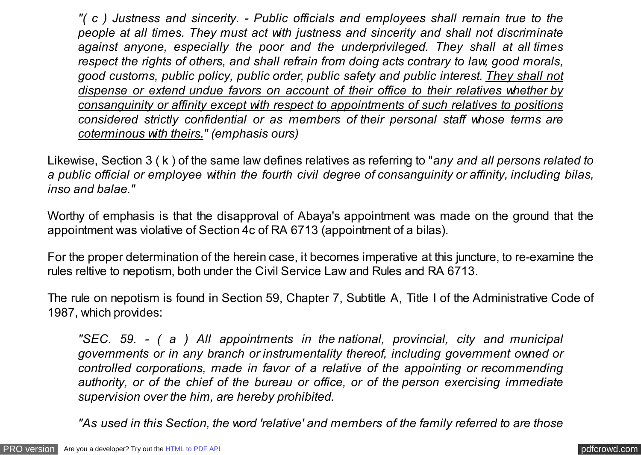*"( c ) Justness and sincerity. - Public officials and employees shall remain true to the people at all times. They must act with justness and sincerity and shall not discriminate against anyone, especially the poor and the underprivileged. They shall at all times respect the rights of others, and shall refrain from doing acts contrary to law, good morals, good customs, public policy, public order, public safety and public interest. They shall not dispense or extend undue favors on account of their office to their relatives whether by consanguinity or affinity except with respect to appointments of such relatives to positions considered strictly confidential or as members of their personal staff whose terms are coterminous with theirs." (emphasis ours)*

Likewise, Section 3 ( k ) of the same law defines relatives as referring to "*any and all persons related to a public official or employee within the fourth civil degree of consanguinity or affinity, including bilas, inso and balae."*

Worthy of emphasis is that the disapproval of Abaya's appointment was made on the ground that the appointment was violative of Section 4c of RA 6713 (appointment of a bilas).

For the proper determination of the herein case, it becomes imperative at this juncture, to re-examine the rules reltive to nepotism, both under the Civil Service Law and Rules and RA 6713.

The rule on nepotism is found in Section 59, Chapter 7, Subtitle A, Title I of the Administrative Code of 1987, which provides:

*"SEC. 59. - ( a ) All appointments in the national, provincial, city and municipal governments or in any branch or instrumentality thereof, including government owned or controlled corporations, made in favor of a relative of the appointing or recommending authority, or of the chief of the bureau or office, or of the person exercising immediate supervision over the him, are hereby prohibited.*

*"As used in this Section, the word 'relative' and members of the family referred to are those*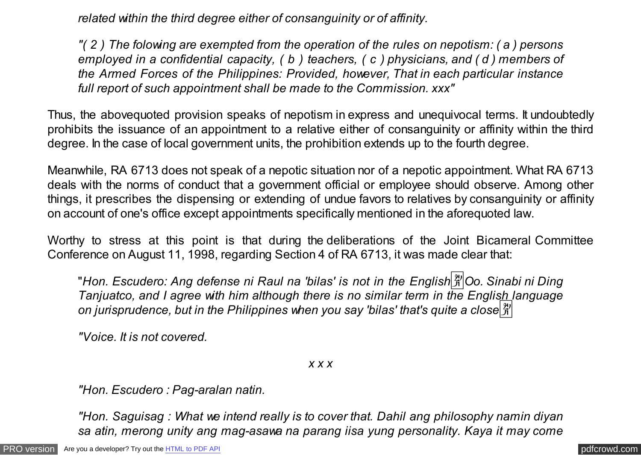*related within the third degree either of consanguinity or of affinity.*

*"( 2 ) The folowing are exempted from the operation of the rules on nepotism: ( a ) persons employed in a confidential capacity, ( b ) teachers, ( c ) physicians, and ( d ) members of the Armed Forces of the Philippines: Provided, however, That in each particular instance full report of such appointment shall be made to the Commission. xxx"*

Thus, the abovequoted provision speaks of nepotism in express and unequivocal terms. It undoubtedly prohibits the issuance of an appointment to a relative either of consanguinity or affinity within the third degree. In the case of local government units, the prohibition extends up to the fourth degree.

Meanwhile, RA 6713 does not speak of a nepotic situation nor of a nepotic appointment. What RA 6713 deals with the norms of conduct that a government official or employee should observe. Among other things, it prescribes the dispensing or extending of undue favors to relatives by consanguinity or affinity on account of one's office except appointments specifically mentioned in the aforequoted law.

Worthy to stress at this point is that during the deliberations of the Joint Bicameral Committee Conference on August 11, 1998, regarding Section 4 of RA 6713, it was made clear that:

"Hon. Escudero: Ang defense ni Raul na 'bilas' is not in the English<sup>[3]</sup> Oo. Sinabi ni Dinq *Tanjuatco, and I agree with him although there is no similar term in the English language on jurisprudence, but in the Philippines when you say 'bilas' that's quite a close*�

*"Voice. It is not covered.*

*x x x*

*"Hon. Escudero : Pag-aralan natin.*

*"Hon. Saguisag : What we intend really is to cover that. Dahil ang philosophy namin diyan sa atin, merong unity ang mag-asawa na parang iisa yung personality. Kaya it may come*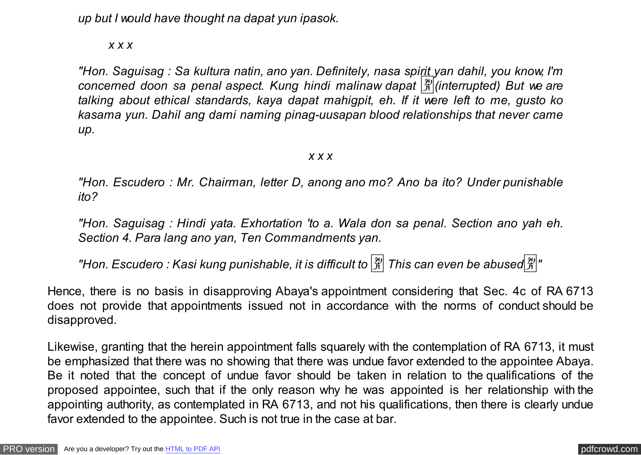*up but I would have thought na dapat yun ipasok.*

*x x x*

*"Hon. Saguisag : Sa kultura natin, ano yan. Definitely, nasa spirit yan dahil, you know, I'm concerned doon sa penal aspect. Kung hindi malinaw dapat* �*(interrupted) But we are talking about ethical standards, kaya dapat mahigpit, eh. If it were left to me, gusto ko kasama yun. Dahil ang dami naming pinag-uusapan blood relationships that never came up.*

## *x x x*

*"Hon. Escudero : Mr. Chairman, letter D, anong ano mo? Ano ba ito? Under punishable ito?*

*"Hon. Saguisag : Hindi yata. Exhortation 'to a. Wala don sa penal. Section ano yah eh. Section 4. Para lang ano yan, Ten Commandments yan.*

**"Hon. Escudero: Kasi kung punishable, it is difficult to**  $\frac{20}{31}$  **This can even be abused**  $\frac{20}{31}$ **"** 

Hence, there is no basis in disapproving Abaya's appointment considering that Sec. 4c of RA 6713 does not provide that appointments issued not in accordance with the norms of conduct should be disapproved.

Likewise, granting that the herein appointment falls squarely with the contemplation of RA 6713, it must be emphasized that there was no showing that there was undue favor extended to the appointee Abaya. Be it noted that the concept of undue favor should be taken in relation to the qualifications of the proposed appointee, such that if the only reason why he was appointed is her relationship with the appointing authority, as contemplated in RA 6713, and not his qualifications, then there is clearly undue favor extended to the appointee. Such is not true in the case at bar.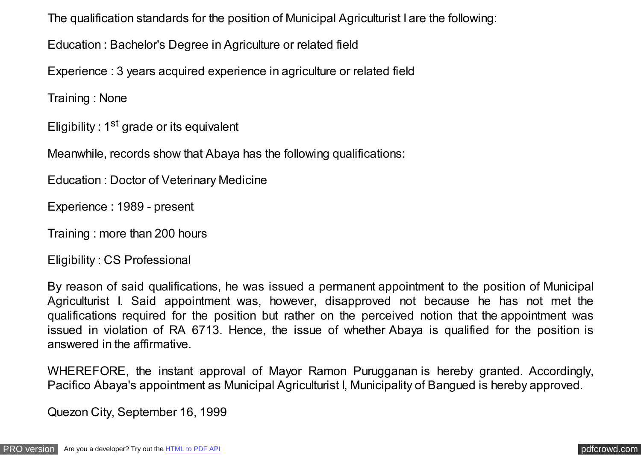The qualification standards for the position of Municipal Agriculturist I are the following:

Education : Bachelor's Degree in Agriculture or related field

Experience : 3 years acquired experience in agriculture or related field

Training : None

Eligibility : 1<sup>st</sup> grade or its equivalent

Meanwhile, records show that Abaya has the following qualifications:

Education : Doctor of Veterinary Medicine

Experience : 1989 - present

Training : more than 200 hours

Eligibility : CS Professional

By reason of said qualifications, he was issued a permanent appointment to the position of Municipal Agriculturist I. Said appointment was, however, disapproved not because he has not met the qualifications required for the position but rather on the perceived notion that the appointment was issued in violation of RA 6713. Hence, the issue of whether Abaya is qualified for the position is answered in the affirmative.

WHEREFORE, the instant approval of Mayor Ramon Purugganan is hereby granted. Accordingly, Pacifico Abaya's appointment as Municipal Agriculturist I, Municipality of Bangued is hereby approved.

Quezon City, September 16, 1999